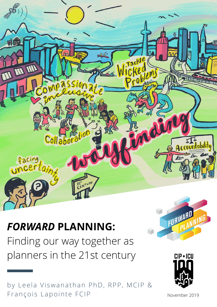

# *FORWARD* **PLANNING:**

Finding our way together as planners in the 21st century

by Leela Viswanathan PhD, RPP, MCIP & François Lapointe FCIP





November 2019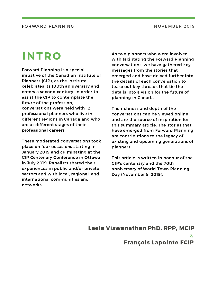# INTRO

Forward Planning is a special initiative of the Canadian Institute of Planners (CIP), as the Institute celebrates its 100th anniversary and enters a second century. In order to assist the CIP to contemplate the future of the profession, conversations were held with 12 professional planners who live in different regions in Canada and who are at different stages of their professional careers.

These moderated conversations took place on four occasions starting in January 2019 and culminating at the CIP Centenary Conference in Ottawa in July 2019. Panelists shared their experiences in public and/or private sectors and with local, regional, and international communities and networks.

As two planners who were involved with facilitating the Forward Planning [conversations,](http://www.cip-icu.ca/About/CIP-100/CIP100-Pages/Forward-Planning) we have gathered key messages from the stories that emerged and have delved further into the details of each conversation to tease out key threads that tie the details into a vision for the future of planning in Canada.

The richness and depth of the conversations can be viewed online and are the source of inspiration for this summary article. The stories that have emerged from Forward Planning are contributions to the legacy of existing and upcoming generations of planners.

This article is written in honour of the CIP's centenary and the 70th anniversary of World Town Planning Day (November 8, 2019).

Leela Viswanathan PhD, RPP, MCIP & François Lapointe FCIP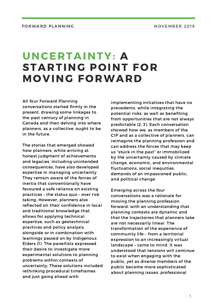# UNCERTAINTY: A STARTING POINT FOR MOVING FORWARD

All four Forward Planning conversations started firmly in the present, drawing some linkages to the past century of planning in Canada and then delving into where planners, as a collective, ought to be in the future.

The stories that emerged showed how planners, while arriving at honest judgment of achievements and legacies, including unintended consequences, have also developed expertise in managing uncertainty. They remain aware of the forces of inertia that conventionally have favoured a safe reliance on existing practices – the status quo – over risk taking. However, planners also reflected on their confidence in local and traditional knowledge that allows for applying technical expertise, such as geotechnical practices and policy analysis, alongside or in combination with learnings passed on by Indigenous Elders (1). The panellists expressed their desire to investigate more experimental solutions to planning problems within contexts of uncertainty. These solutions included rethinking procedural timeframes and just going ahead with

implementing initiatives that have no precedents, while integrating the potential risks, as well as benefiting from opportunities that are not always predictable (2, 3). Each conversation showed how we, as members of the CIP and as a collective of planners, can reimagine the planning profession and can address the forces that may keep us "stuck in the past" or immobilized by the uncertainty caused by climate change, economic, and environmental fluctuations, social inequities, demands of an impassioned public, and political change.

Emerging across the four conversations was a rationale for moving the planning profession forward, with an understanding that planning contexts are dynamic and that the trajectories that planners take are not necessarily linear. The [transformation](http://www.cip-icu.ca/About/CIP-100/CIP100-Pages/Forward-Planning) of the experience of community life – from a territorial expression to an increasingly virtual landscape – came to mind. It was understood that tensions will continue to exist when engaging with the public, yet as diverse members of the public become more sophisticated about planning issues, professional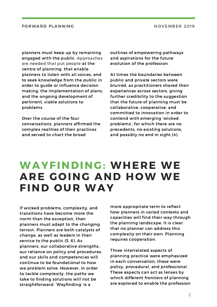planners must keep up by remaining engaged with the public. Approaches are needed that put people at the centre of planning, that enable planners to listen with all voices, and to seek knowledge from the public in order to guide or influence decision making, the implementation of plans, and the ongoing development of pertinent, viable solutions to problems.

Over the course of the four conversations, planners affirmed the complex realities of their practices and served to chart the broad

outlines of empowering pathways and aspirations for the future evolution of the profession.

At times the boundaries between public and private sectors were blurred, as practitioners shared their experiences across sectors, giving further credibility to the suggestion that the future of planning must be [collaborative,](http://www.cip-icu.ca/About/CIP-100/CIP100-Pages/Forward-Planning) cooperative, and committed to innovation in order to contend with emerging 'wicked problems', for which there are no precedents, no existing solutions, and possibly no end in sight (4).

## WAYFINDING: WHERE WE ARE GOING AND HOW WE FIND OUR WAY

If wicked problems, complexity, and transitions have become more the norm than the exception, then planners must adapt to the changing terrain. Planners are both catalysts of change, as well as leaders in their service to the public (5, 6). As planners, our collaborative strengths, our reliance on policy and procedures, and our skills and competencies will continue to be foundational to how we problem solve. However, in order to tackle complexity, the paths we take to finding solutions will not be straightforward. 'Wayfinding' is a

more appropriate term to reflect how planners in varied contexts and capacities will find their way through the planning landscape. It is clear that no planner can address this complexity on their own. Planning requires cooperation.

Three interrelated aspects of planning practice were emphasized in each [conversation;](http://www.cip-icu.ca/About/CIP-100/CIP100-Pages/Forward-Planning) these were policy, procedural, and professional. These aspects can act as lenses by which different frontiers of planning are explored to enable the profession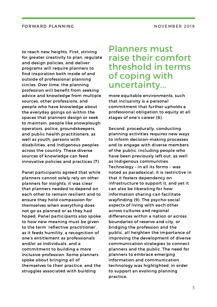to reach new heights. First, striving for greater creativity to plan, regulate and design policies, and deliver programs will require planners to find inspiration both inside of and outside of professional planning circles. Over time, the planning profession will benefit from seeking advice and knowledge from multiple sources, other professions, and people who have knowledge about the everyday goings on within the spaces that planners design or seek to maintain, people like snowplough operators, police, groundskeepers, and public health practitioners, as well as youth, persons with disabilities, and Indigenous peoples across the country. These diverse sources of knowledge can feed innovative policies and practices (7).

Panel participants agreed that while planners cannot solely rely on other planners for insights, it was clear that planners needed to depend on each other to remain resilient and to ensure they hold compassion for themselves when everything does not go as planned or as they had hoped. Panel participants also spoke to how new meaning must be given to the term 'reflective practitioner', as it feeds humility, a recognition of one's entitlement as professionals and/or as individuals, and a commitment to building a more inclusive profession. Some planners spoke about bringing all of themselves to their practice, and the struggles associated with building

## Planners must raise their comfort threshold in terms of coping with [uncertainty...](http://www.cip-icu.ca/About/CIP-100/CIP100-Pages/Forward-Planning)

more equitable environments, such that inclusivity is a personal commitment that further upholds a professional obligation to equity at all stages of one's career (8).

Second, procedurally, conducting planning activities requires new ways to inform decision-making processes and to engage with diverse members of the public, including people who have been previously left out, as well as Indigenous communities. Technology – in all its forms – was noted as paradoxical; it is restrictive in that it fosters dependency on infrastructure to support it, and yet it can also be liberating for how information sharing can facilitate wayfinding (9). The psycho-social aspects of living with each other across cultures and regional differences within a nation or across boundaries of reserve and city, or bridging the profession and the public, all heighten the importance of improving the development of diverse communication strategies to connect planners and the public. The need for planners to embrace emerging information and communication technology was highlighted, in order to support an evolving planning practice.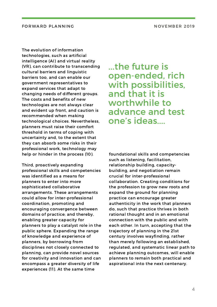The evolution of information technologies, such as artificial intelligence (AI) and virtual reality (VR), can contribute to transcending cultural barriers and linguistic barriers too, and can enable our government representatives to expand services that adapt to changing needs of different groups. The costs and benefits of new technologies are not always clear and evident up front, and caution is recommended when making technological choices. Nevertheless, planners must raise their comfort threshold in terms of coping with uncertainty and, to the extent that they can absorb some risks in their professional work, technology may help or hinder in the process (10).

Third, proactively expanding professional skills and competencies was identified as a means for planners to enter into more sophisticated collaborative arrangements. These arrangements could allow for inter-professional coordination, promoting and encouraging convergence between domains of practice; and thereby, enabling greater capacity for planners to play a catalyst role in the public sphere. Expanding the range of knowledge and experience of planners, by borrowing from disciplines not closely connected to planning, can provide novel sources for creativity and innovation and can encompass a greater diversity of life experiences (11). At the same time

...the future is [open-ended,](http://www.cip-icu.ca/About/CIP-100/CIP100-Pages/Forward-Planning) rich with possibilities, and that it is worthwhile to advance and test one's ideas....

foundational skills and competencies such as listening, facilitation, relationship building, capacitybuilding, and negotiation remain crucial for [inter-professional](http://www.cip-icu.ca/About/CIP-100/CIP100-Pages/Forward-Planning) collaboration. Creating conditions for the profession to grow new roots and expand the ground for planning practice can encourage greater authenticity in the work that planners do, such that practice thrives in both rational thought and in an emotional connection with the public and with each other. In turn, accepting that the trajectory of planning in the 21st century involves wayfinding, rather than merely following an established, regulated, and systematic linear path to achieve planning outcomes, will enable planners to remain both practical and aspirational into the next centenary.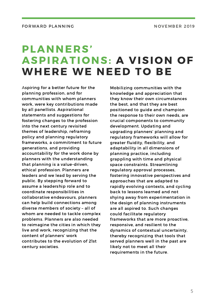# PLANNERS' ASPIRATIONS: A VISION OF WHERE WE NEED TO BE

Aspiring for a better future for the planning profession, and for communities with whom planners work, were key contributions made by all panellists. Aspirational statements and suggestions for fostering changes to the profession into the next century revisited themes of leadership, reframing policy and planning regulatory frameworks, a commitment to future generations, and providing accountability for the work done by planners with the understanding that planning is a value-driven, ethical profession. Planners are leaders and we lead by serving the public. By stepping forward to assume a leadership role and to coordinate responsibilities in collaborative endeavours, planners can help build connections among diverse members of society – all of whom are needed to tackle complex problems. Planners are also needed to reimagine the cities in which they live and work, recognizing that the content of planners' work contributes to the evolution of 21st century societies.

Mobilizing communities with the knowledge and appreciation that they know their own circumstances the best, and that they are best positioned to guide and champion the response to their own needs, are crucial components to community development. Updating and upgrading planners' planning and regulatory frameworks will allow for greater fluidity, flexibility, and adaptability in all dimensions of planning practice, including grappling with time and physical space constraints. Streamlining regulatory approval processes, fostering innovative perspectives and approaches that are adapted to rapidly evolving contexts, and cycling back to lessons learned and not shying away from experimentation in the design of planning instruments are all aspired to. Such changes could facilitate regulatory frameworks that are more proactive, responsive, and resilient to the dynamics of contextual uncertainty, thereby recognizing that tools that served planners well in the past are likely not to meet all their requirements in the future.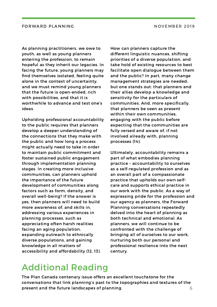As planning practitioners, we owe to youth, as well as young planners entering the profession, to remain hopeful as they inherit our legacies. In facing the future, young planners may find themselves isolated, feeling quite alone in the context of uncertainty, and we must remind young planners that the future is open-ended, rich with possibilities, and that it is worthwhile to advance and test one's ideas.

Upholding professional accountability to the public requires that planners develop a deeper understanding of the connections that they make with the public and how long a process might actually need to take in order to maintain public commitment and foster sustained public engagement through [implementation](http://www.cip-icu.ca/About/CIP-100/CIP100-Pages/Forward-Planning) planning stages. In creating more inclusive communities, can planners uphold the importance of the future development of communities along factors such as form, density, and overall well-being? If the answer is yes, then planners will need to build more awareness of, and skills in, addressing various experiences in planning processes, such as appreciating often harsh realities facing an aging population, expanding outreach to ethnically diverse populations, and gaining knowledge in all matters of accessibility and affordability (12, 13).

How can planners capture the different linguistic nuances, shifting priorities of a diverse population, and take hold of existing resources to best facilitate open dialogue between them and the public? In part, many change management strategies are needed, but one stands out: that planners and their allies develop a knowledge and sensitivity for the particulars of communities. And, more specifically, that planners be seen as present within their own communities, engaging with the public before expecting that the communities are fully versed and aware of, if not involved already with, planning processes (14).

Ultimately, accountability remains a part of what embodies planning practice – accountability to ourselves as a self-regulated profession and as an overall part of a compassionate practice that upholds our own selfcare and supports ethical practice in our work with the public. As a way of expressing pride for the profession and our agency as planners, the Forward Planning conversations repeatedly delved into the heart of planning as both technical and emotional. As planners, we will continue to be confronted with the challenge of bringing all of ourselves to our work, nurturing both our personal and professional resilience into the next century.

## [Additional](http://www.cip-icu.ca/About/CIP-100/CIP100-Pages/Forward-Planning) Reading

The Plan Canada centenary issue offers an excellent touchstone for the [conversations](https://www.kelmanonline.com/httpdocs/files/CIP/plancanadaspring2019/) that link planning's past to the topographies and textures of the present and the future landscapes of planning. The same state of  $6\,$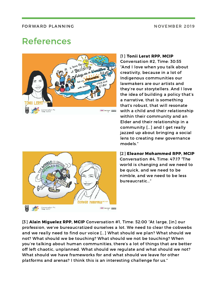## [References](http://www.cip-icu.ca/About/CIP-100/CIP100-Pages/Forward-Planning)

Conversation #4<br>Time: 4717



#### [1] Tonii Lerat RPP, MCIP

Conversation #2, Time: 30:55 "And I love when you talk about creativity, because in a lot of Indigenous communities our lawmakers are our artists and they're our storytellers. And I love the idea of building a policy that's a narrative, that is something that's robust, that will resonate with a child and their relationship within their community and an Elder and their relationship in a community […] and I get really jazzed up about bringing a social lens to creating new governance models."

[2] Eleanor Mohammed RPP, MCIP Conversation #4, Time: 47:17 "The world is changing and we need to be quick, and we need to be nimble, and we need to be less bureaucratic…"

[3] Alain Miguelez RPP, MCIP Conversation #1, Time: 52:00 "At large, [in] our profession, we've bureaucratized ourselves a lot. We need to clear the cobwebs and we really need to find our voice […] What should we plan? What should we not? What should we be touching? What should we not be touching? When you're talking about human communities, there's a lot of things that are better off left chaotic, unplanned. What should we regulate and what should we not? What should we have frameworks for and what should we leave for other platforms and arenas? I think this is an interesting challenge for us."

awai sensagai E1920

**ELEAN OR MONAMMED**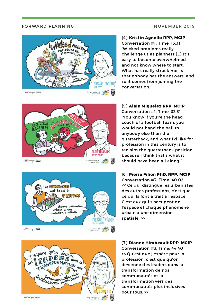



![](_page_9_Picture_4.jpeg)

![](_page_9_Picture_5.jpeg)

### [4] Kristin Agnello RPP, MCIP

Conversation #1, Time: 15:31 "Wicked problems really challenge us as planners […] It's easy to become overwhelmed and not know where to start. What has really struck me, is that nobody has the answers, and so it comes from joining the conversation."

#### [5] Alain Miguelez RPP, MCIP

Conversation #1, Time: 32:31 "You know if you're the head coach of a football team, you would not hand the ball to anybody else than the quarterback, and what I'd like for profession in this century is to reclaim the quarterback position, because I think that's what it should have been all along."

#### [6] Pierre Filion PhD, RPP, MCIP

Conversation #3, Time: 40:02 << Ce qui distingue les urbanistes des autres professions, c'est que ce qu'ils font à trait à l'espace. C'est eux qui s'occupent de l'espace et chaque phénomène urbain a une dimension spatiale. >>

#### [7] Dianne Himbeault RPP, MCIP

Conversation #3, Time: 44:40 << Qu'est que j'espère pour la profession, c'est que qu'on devienne des leaders dans la transformation de nos communautés et la transformation vers des communautés plus inclusives pour tous. >>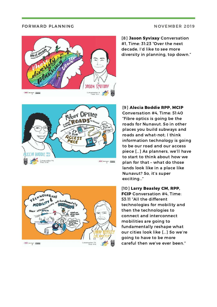![](_page_10_Picture_2.jpeg)

[8] Jason Syvixay Conversation #1, Time: 31:23 "Over the next decade, I'd like to see more diversity in planning, top down."

![](_page_10_Picture_4.jpeg)

![](_page_10_Picture_5.jpeg)

[9] Alecia Boddie RPP, MCIP Conversation #4, Time: 51:40

"Fibre optics is going be the roads for Nunavut. So in other places you build subways and roads and what-not; I think information technology is going to be our road and our access piece […] As planners, we'll have to start to think about how we plan for that – what do those lands look like in a place like Nunavut? So, it's super exciting…"

#### [10] Larry Beasley CM, RPP,

FCIP Conversation #4, Time: 53:11 "All the different technologies for mobility and then the technologies to connect and interconnect mobilities are going to fundamentally reshape what our cities look like […] So we're going to have to be more careful then we've ever been."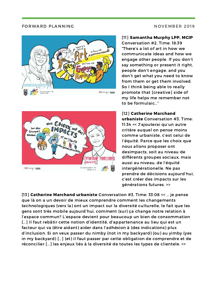# in how we AUNI AND AND ESTERED

![](_page_11_Picture_2.jpeg)

### [11] Samantha Murphy LPP, MCIP

Conversation #2, Time: 18:39 "There's a lot of art in how we communicate ideas and how we engage other people. If you don't say something or present it right, people don't engage, and you don't get what you need to know from them or get them involved. So I think being able to really promote that [creative] side of my life helps me remember not to be formulaic…"

## [12] Catherine Marchand

urbaniste Conversation #3, Time: 11:34 << J'ajouterai qu'un autre critère auquel on pense moins comme urbaniste, c'est celui de l'équité. Parce que les choix que nous allons proposer ont desimpacts, soit au niveau de différents groupes sociaux, mais aussi au niveau, de l'équité intergénérationelle. Ne pas prendre de décisions aujourd'hui, c'est créer des impacts sur les générations futures. >>

[13] Catherine Marchand urbaniste Conversation #3, Time: 33:08 << … je pense que là on a un devoir de mieux comprendre comment les changements technologiques (vers la) ont un impact sur la diversité culturelle, le fait que les gens sont très mobile aujourd'hui, comment (sur) ça change notre relation à l'espace commun? L'espace devient pour beaucoup un bien de consommation [...] Il faut rebâtir cette notion d'identité, d'appartenance au lieu qui est un facteur qui va (être aidant) aider dans l'adhésion à (des indications) plus d'inclusion. Si on veux passer du nimby (not in my backyard) (ou) au yimby (yes in my backyard) […] (et) il faut passer par cette obligation de comprendre et de réconcilier […] les enjeux liés à la diversité de toutes les types de clientele. >>